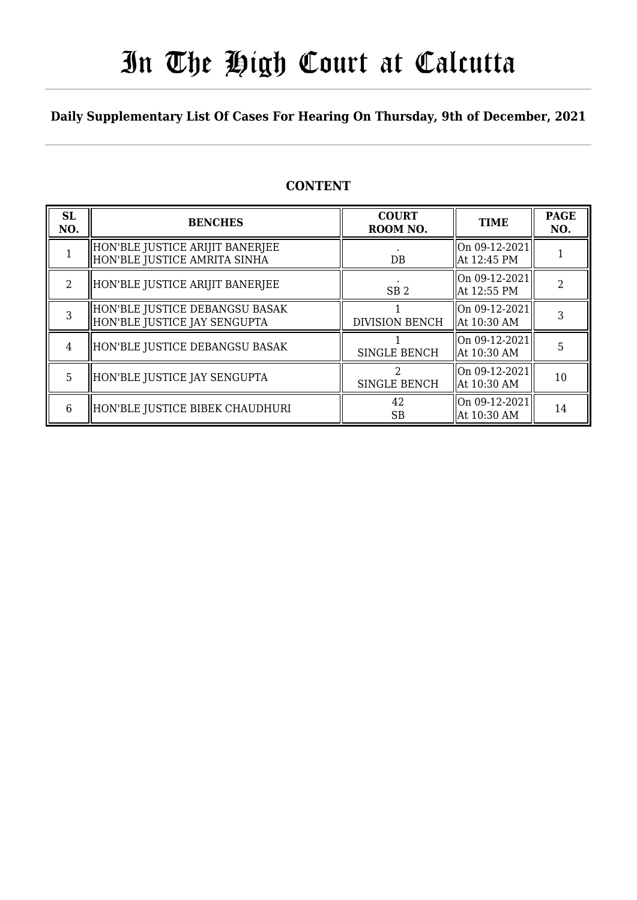# In The High Court at Calcutta

## **Daily Supplementary List Of Cases For Hearing On Thursday, 9th of December, 2021**

## **CONTENT**

| <b>SL</b><br>NO. | <b>BENCHES</b>                                                  | <b>COURT</b><br>ROOM NO. | <b>TIME</b>                                      | <b>PAGE</b><br>NO. |
|------------------|-----------------------------------------------------------------|--------------------------|--------------------------------------------------|--------------------|
|                  | HON'BLE JUSTICE ARIJIT BANERJEE<br>HON'BLE JUSTICE AMRITA SINHA | DB                       | On $09-12-2021$<br>At 12:45 PM                   |                    |
| $\mathfrak{D}$   | HON'BLE JUSTICE ARIJIT BANERJEE                                 | SB <sub>2</sub>          | On 09-12-2021<br>At 12:55 PM                     |                    |
| 3                | HON'BLE JUSTICE DEBANGSU BASAK<br>HON'BLE JUSTICE JAY SENGUPTA  | <b>DIVISION BENCH</b>    | On $09-12-2021$<br>At 10:30 AM                   |                    |
| 4                | HON'BLE JUSTICE DEBANGSU BASAK                                  | SINGLE BENCH             | $\lfloor$ On 09-12-2021 $\rfloor$<br>At 10:30 AM | 5                  |
| 5                | HON'BLE JUSTICE JAY SENGUPTA                                    | 2<br><b>SINGLE BENCH</b> | On 09-12-2021<br>At 10:30 AM                     | 10                 |
| 6                | HON'BLE JUSTICE BIBEK CHAUDHURI                                 | 42<br>SB                 | $ On 09-12-2021 $<br>At 10:30 AM                 | 14                 |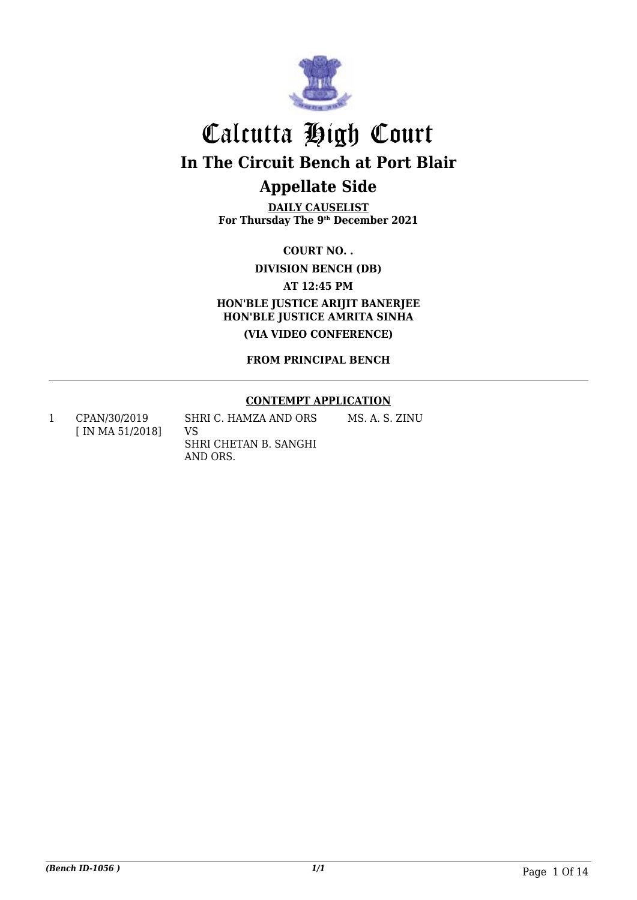

**DAILY CAUSELIST For Thursday The 9th December 2021**

**COURT NO. .**

**DIVISION BENCH (DB)**

**AT 12:45 PM**

**HON'BLE JUSTICE ARIJIT BANERJEE HON'BLE JUSTICE AMRITA SINHA (VIA VIDEO CONFERENCE)**

**FROM PRINCIPAL BENCH**

#### **CONTEMPT APPLICATION**

MS. A. S. ZINU

1 CPAN/30/2019 [ IN MA 51/2018] SHRI C. HAMZA AND ORS VS SHRI CHETAN B. SANGHI AND ORS.

*(Bench ID-1056 ) 1/1* Page 1 Of 14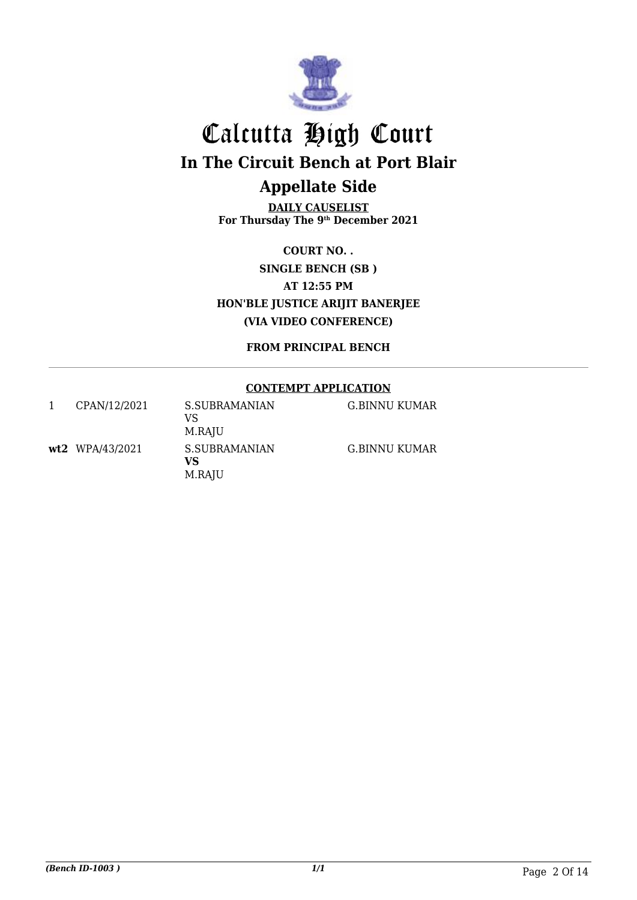

**DAILY CAUSELIST For Thursday The 9th December 2021**

**COURT NO. . SINGLE BENCH (SB ) AT 12:55 PM HON'BLE JUSTICE ARIJIT BANERJEE (VIA VIDEO CONFERENCE)**

**FROM PRINCIPAL BENCH**

## **CONTEMPT APPLICATION**

| CPAN/12/2021    | S.SUBRAMANIAN<br>VS<br>M.RAJU | G.BINNU KUMAR |
|-----------------|-------------------------------|---------------|
| wt2 WPA/43/2021 | S.SUBRAMANIAN<br>VS<br>M.RAJU | G.BINNU KUMAR |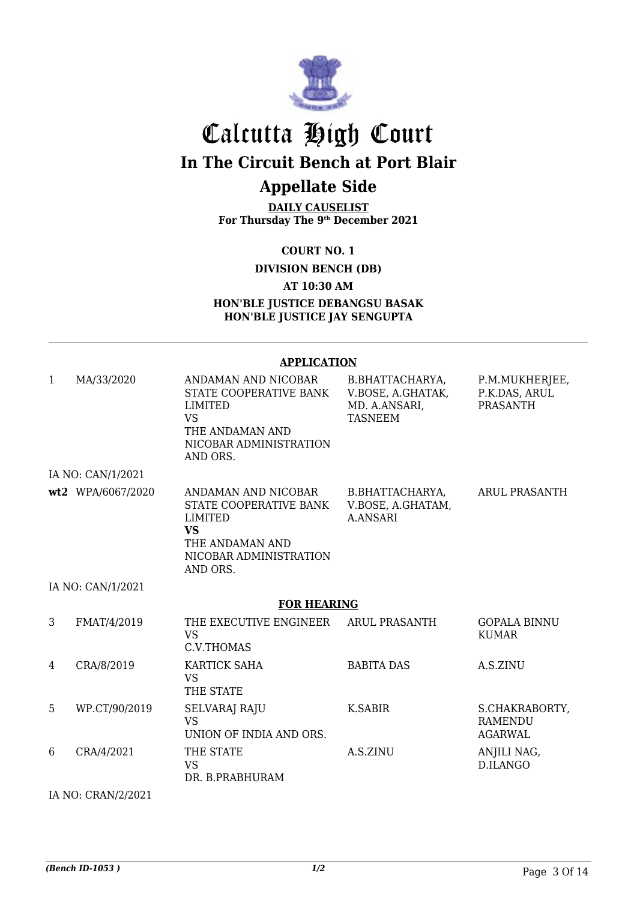

**DAILY CAUSELIST For Thursday The 9th December 2021**

**COURT NO. 1**

**DIVISION BENCH (DB)**

**AT 10:30 AM**

**HON'BLE JUSTICE DEBANGSU BASAK HON'BLE JUSTICE JAY SENGUPTA**

#### **APPLICATION**

| $\mathbf{1}$ | MA/33/2020        | ANDAMAN AND NICOBAR<br>STATE COOPERATIVE BANK<br>LIMITED<br><b>VS</b><br>THE ANDAMAN AND<br>NICOBAR ADMINISTRATION<br>AND ORS. | B.BHATTACHARYA,<br>V.BOSE, A.GHATAK,<br>MD. A.ANSARI,<br><b>TASNEEM</b> | P.M.MUKHERJEE,<br>P.K.DAS, ARUL<br><b>PRASANTH</b> |  |  |  |
|--------------|-------------------|--------------------------------------------------------------------------------------------------------------------------------|-------------------------------------------------------------------------|----------------------------------------------------|--|--|--|
|              | IA NO: CAN/1/2021 |                                                                                                                                |                                                                         |                                                    |  |  |  |
|              | wt2 WPA/6067/2020 | ANDAMAN AND NICOBAR<br>STATE COOPERATIVE BANK<br>LIMITED<br><b>VS</b><br>THE ANDAMAN AND<br>NICOBAR ADMINISTRATION<br>AND ORS. | B.BHATTACHARYA,<br>V.BOSE, A.GHATAM,<br><b>A.ANSARI</b>                 | ARUL PRASANTH                                      |  |  |  |
|              | IA NO: CAN/1/2021 |                                                                                                                                |                                                                         |                                                    |  |  |  |
|              |                   | <b>FOR HEARING</b>                                                                                                             |                                                                         |                                                    |  |  |  |
| 3            | FMAT/4/2019       | THE EXECUTIVE ENGINEER<br><b>VS</b><br>C.V.THOMAS                                                                              | <b>ARUL PRASANTH</b>                                                    | <b>GOPALA BINNU</b><br><b>KUMAR</b>                |  |  |  |
| 4            | CRA/8/2019        | KARTICK SAHA<br><b>VS</b><br>THE STATE                                                                                         | <b>BABITA DAS</b>                                                       | A.S.ZINU                                           |  |  |  |
| 5            | WP.CT/90/2019     | <b>SELVARAJ RAJU</b><br><b>VS</b><br>UNION OF INDIA AND ORS.                                                                   | K.SABIR                                                                 | S.CHAKRABORTY,<br><b>RAMENDU</b><br><b>AGARWAL</b> |  |  |  |
| 6            | CRA/4/2021        | THE STATE<br><b>VS</b><br>DR. B.PRABHURAM                                                                                      | A.S.ZINU                                                                | ANJILI NAG,<br>D.ILANGO                            |  |  |  |

IA NO: CRAN/2/2021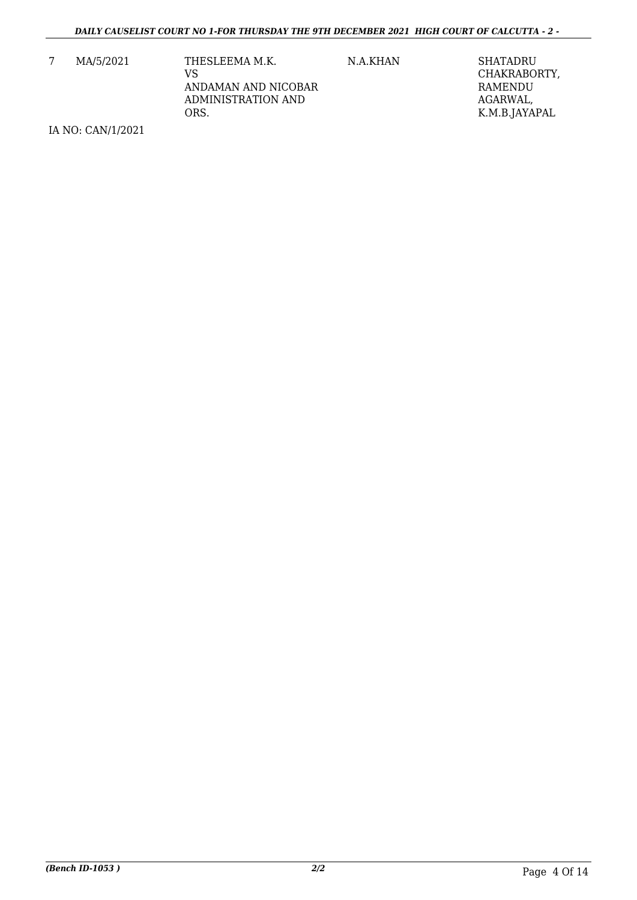7 MA/5/2021 THESLEEMA M.K. VS ANDAMAN AND NICOBAR ADMINISTRATION AND ORS.

N.A.KHAN SHATADRU CHAKRABORTY, RAMENDU AGARWAL, K.M.B.JAYAPAL

IA NO: CAN/1/2021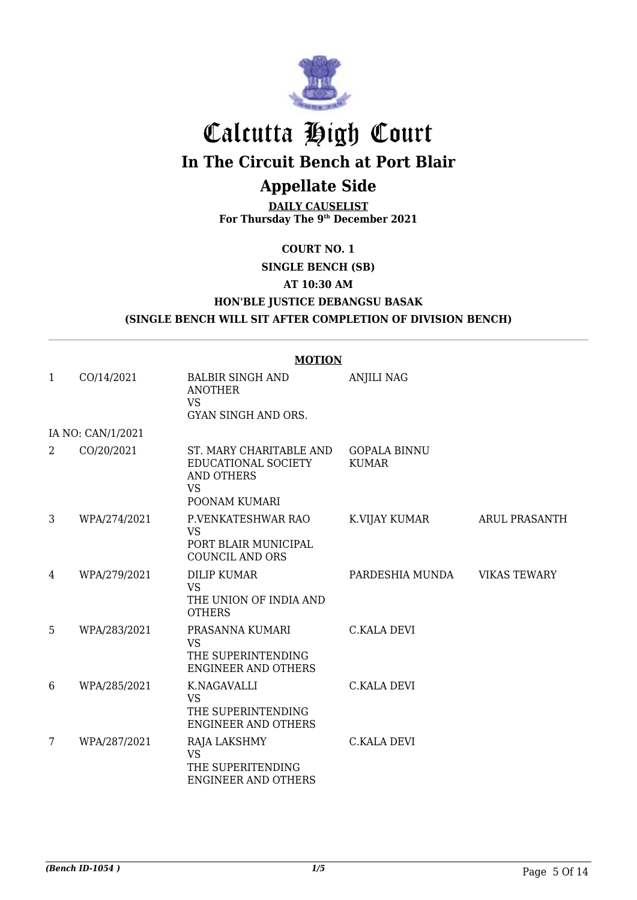

# Calcutta High Court **In The Circuit Bench at Port Blair**

## **Appellate Side**

**DAILY CAUSELIST For Thursday The 9th December 2021**

**COURT NO. 1**

**SINGLE BENCH (SB)**

**AT 10:30 AM**

**HON'BLE JUSTICE DEBANGSU BASAK**

## **(SINGLE BENCH WILL SIT AFTER COMPLETION OF DIVISION BENCH)**

|   |                   | <b>MOTION</b>                                                                                     |                                     |                      |
|---|-------------------|---------------------------------------------------------------------------------------------------|-------------------------------------|----------------------|
| 1 | CO/14/2021        | <b>BALBIR SINGH AND</b><br><b>ANOTHER</b><br>VS.<br>GYAN SINGH AND ORS.                           | <b>ANJILI NAG</b>                   |                      |
|   | IA NO: CAN/1/2021 |                                                                                                   |                                     |                      |
| 2 | CO/20/2021        | ST. MARY CHARITABLE AND<br>EDUCATIONAL SOCIETY<br><b>AND OTHERS</b><br><b>VS</b><br>POONAM KUMARI | <b>GOPALA BINNU</b><br><b>KUMAR</b> |                      |
| 3 | WPA/274/2021      | P.VENKATESHWAR RAO<br><b>VS</b><br>PORT BLAIR MUNICIPAL<br><b>COUNCIL AND ORS</b>                 | K.VIJAY KUMAR                       | <b>ARUL PRASANTH</b> |
| 4 | WPA/279/2021      | <b>DILIP KUMAR</b><br><b>VS</b><br>THE UNION OF INDIA AND<br><b>OTHERS</b>                        | PARDESHIA MUNDA                     | <b>VIKAS TEWARY</b>  |
| 5 | WPA/283/2021      | PRASANNA KUMARI<br><b>VS</b><br>THE SUPERINTENDING<br><b>ENGINEER AND OTHERS</b>                  | <b>C.KALA DEVI</b>                  |                      |
| 6 | WPA/285/2021      | K.NAGAVALLI<br><b>VS</b><br>THE SUPERINTENDING<br><b>ENGINEER AND OTHERS</b>                      | <b>C.KALA DEVI</b>                  |                      |
| 7 | WPA/287/2021      | RAJA LAKSHMY<br><b>VS</b><br>THE SUPERITENDING<br><b>ENGINEER AND OTHERS</b>                      | <b>C.KALA DEVI</b>                  |                      |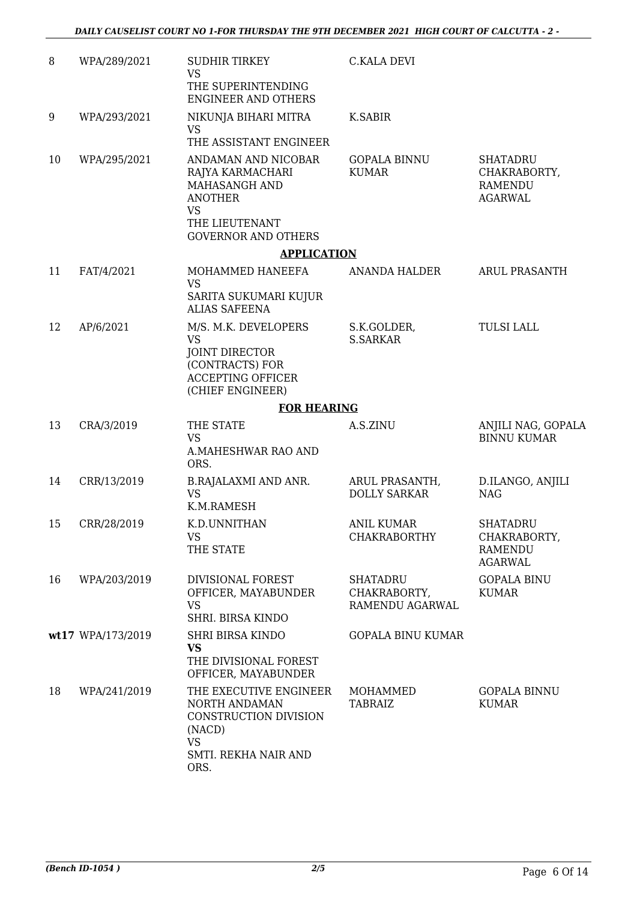| 8  | WPA/289/2021      | <b>SUDHIR TIRKEY</b><br><b>VS</b><br>THE SUPERINTENDING                                                                          | <b>C.KALA DEVI</b>                          |                                                                     |
|----|-------------------|----------------------------------------------------------------------------------------------------------------------------------|---------------------------------------------|---------------------------------------------------------------------|
|    |                   | <b>ENGINEER AND OTHERS</b>                                                                                                       |                                             |                                                                     |
| 9  | WPA/293/2021      | NIKUNJA BIHARI MITRA<br><b>VS</b><br>THE ASSISTANT ENGINEER                                                                      | K.SABIR                                     |                                                                     |
| 10 | WPA/295/2021      | ANDAMAN AND NICOBAR<br>RAJYA KARMACHARI<br>MAHASANGH AND<br><b>ANOTHER</b><br>VS<br>THE LIEUTENANT<br><b>GOVERNOR AND OTHERS</b> | <b>GOPALA BINNU</b><br><b>KUMAR</b>         | <b>SHATADRU</b><br>CHAKRABORTY,<br><b>RAMENDU</b><br><b>AGARWAL</b> |
|    |                   | <b>APPLICATION</b>                                                                                                               |                                             |                                                                     |
| 11 | FAT/4/2021        | MOHAMMED HANEEFA<br><b>VS</b><br>SARITA SUKUMARI KUJUR<br><b>ALIAS SAFEENA</b>                                                   | ANANDA HALDER                               | <b>ARUL PRASANTH</b>                                                |
| 12 | AP/6/2021         | M/S. M.K. DEVELOPERS<br><b>VS</b><br><b>JOINT DIRECTOR</b><br>(CONTRACTS) FOR<br><b>ACCEPTING OFFICER</b><br>(CHIEF ENGINEER)    | S.K.GOLDER,<br><b>S.SARKAR</b>              | <b>TULSI LALL</b>                                                   |
|    |                   | <b>FOR HEARING</b>                                                                                                               |                                             |                                                                     |
| 13 | CRA/3/2019        | THE STATE<br><b>VS</b><br>A.MAHESHWAR RAO AND<br>ORS.                                                                            | A.S.ZINU                                    | ANJILI NAG, GOPALA<br><b>BINNU KUMAR</b>                            |
| 14 | CRR/13/2019       | <b>B.RAJALAXMI AND ANR.</b><br><b>VS</b><br>K.M.RAMESH                                                                           | ARUL PRASANTH,<br><b>DOLLY SARKAR</b>       | D.ILANGO, ANJILI<br><b>NAG</b>                                      |
| 15 | CRR/28/2019       | K.D.UNNITHAN<br><b>VS</b><br>THE STATE                                                                                           | <b>ANIL KUMAR</b><br><b>CHAKRABORTHY</b>    | <b>SHATADRU</b><br>CHAKRABORTY,<br><b>RAMENDU</b><br><b>AGARWAL</b> |
| 16 | WPA/203/2019      | DIVISIONAL FOREST<br>OFFICER, MAYABUNDER<br><b>VS</b><br>SHRI. BIRSA KINDO                                                       | SHATADRU<br>CHAKRABORTY,<br>RAMENDU AGARWAL | <b>GOPALA BINU</b><br><b>KUMAR</b>                                  |
|    | wt17 WPA/173/2019 | <b>SHRI BIRSA KINDO</b><br><b>VS</b><br>THE DIVISIONAL FOREST<br>OFFICER, MAYABUNDER                                             | <b>GOPALA BINU KUMAR</b>                    |                                                                     |
| 18 | WPA/241/2019      | THE EXECUTIVE ENGINEER<br>NORTH ANDAMAN<br>CONSTRUCTION DIVISION<br>(NACD)<br><b>VS</b><br>SMTI. REKHA NAIR AND<br>ORS.          | MOHAMMED<br><b>TABRAIZ</b>                  | <b>GOPALA BINNU</b><br><b>KUMAR</b>                                 |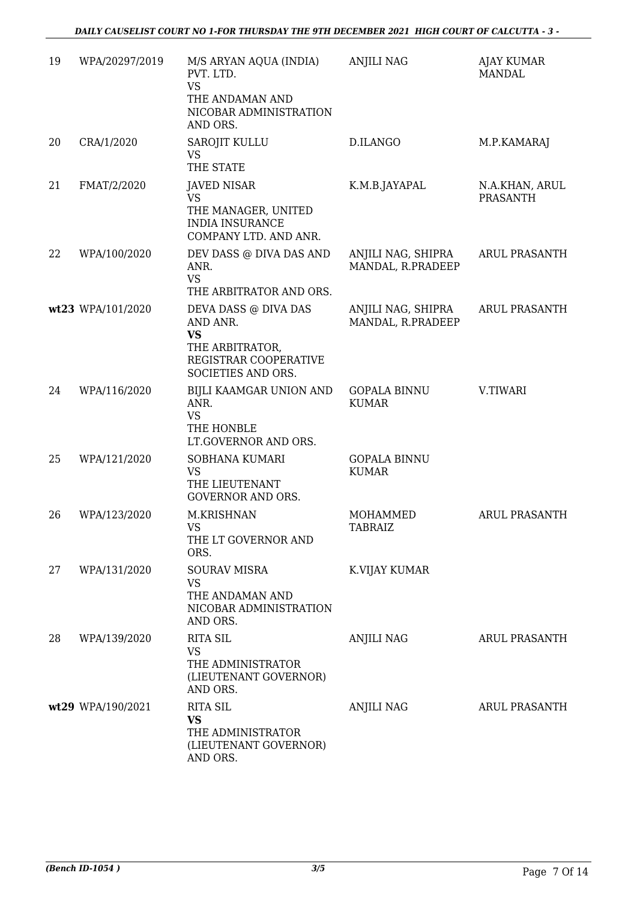| 19 | WPA/20297/2019    | M/S ARYAN AQUA (INDIA)<br>PVT. LTD.<br><b>VS</b><br>THE ANDAMAN AND<br>NICOBAR ADMINISTRATION<br>AND ORS.       | <b>ANJILI NAG</b>                       | AJAY KUMAR<br><b>MANDAL</b>       |
|----|-------------------|-----------------------------------------------------------------------------------------------------------------|-----------------------------------------|-----------------------------------|
| 20 | CRA/1/2020        | SAROJIT KULLU<br><b>VS</b><br>THE STATE                                                                         | D.ILANGO                                | M.P.KAMARAJ                       |
| 21 | FMAT/2/2020       | JAVED NISAR<br><b>VS</b><br>THE MANAGER, UNITED<br><b>INDIA INSURANCE</b><br>COMPANY LTD. AND ANR.              | K.M.B.JAYAPAL                           | N.A.KHAN, ARUL<br><b>PRASANTH</b> |
| 22 | WPA/100/2020      | DEV DASS @ DIVA DAS AND<br>ANR.<br><b>VS</b><br>THE ARBITRATOR AND ORS.                                         | ANJILI NAG, SHIPRA<br>MANDAL, R.PRADEEP | ARUL PRASANTH                     |
|    | wt23 WPA/101/2020 | DEVA DASS @ DIVA DAS<br>AND ANR.<br><b>VS</b><br>THE ARBITRATOR,<br>REGISTRAR COOPERATIVE<br>SOCIETIES AND ORS. | ANJILI NAG, SHIPRA<br>MANDAL, R.PRADEEP | <b>ARUL PRASANTH</b>              |
| 24 | WPA/116/2020      | BIJLI KAAMGAR UNION AND<br>ANR.<br><b>VS</b><br>THE HONBLE<br>LT.GOVERNOR AND ORS.                              | <b>GOPALA BINNU</b><br><b>KUMAR</b>     | V.TIWARI                          |
| 25 | WPA/121/2020      | SOBHANA KUMARI<br><b>VS</b><br>THE LIEUTENANT<br><b>GOVERNOR AND ORS.</b>                                       | <b>GOPALA BINNU</b><br><b>KUMAR</b>     |                                   |
| 26 | WPA/123/2020      | M.KRISHNAN<br><b>VS</b><br>THE LT GOVERNOR AND<br>ORS.                                                          | MOHAMMED<br>TABRAIZ                     | <b>ARUL PRASANTH</b>              |
| 27 | WPA/131/2020      | <b>SOURAV MISRA</b><br><b>VS</b><br>THE ANDAMAN AND<br>NICOBAR ADMINISTRATION<br>AND ORS.                       | K.VIJAY KUMAR                           |                                   |
| 28 | WPA/139/2020      | <b>RITA SIL</b><br><b>VS</b><br>THE ADMINISTRATOR<br>(LIEUTENANT GOVERNOR)<br>AND ORS.                          | <b>ANJILI NAG</b>                       | <b>ARUL PRASANTH</b>              |
|    | wt29 WPA/190/2021 | <b>RITA SIL</b><br><b>VS</b><br>THE ADMINISTRATOR<br>(LIEUTENANT GOVERNOR)<br>AND ORS.                          | ANJILI NAG                              | <b>ARUL PRASANTH</b>              |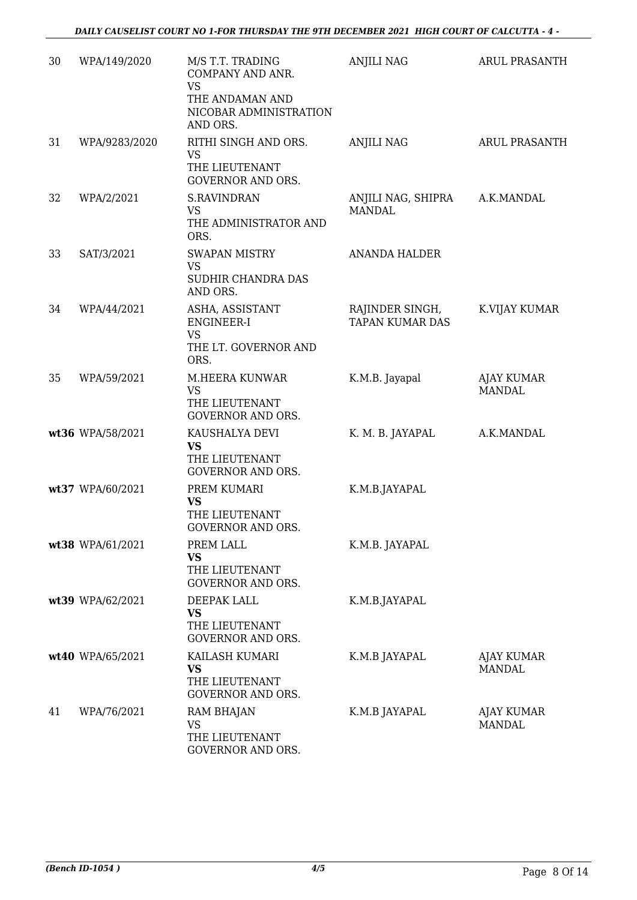| 30 | WPA/149/2020     | M/S T.T. TRADING<br>COMPANY AND ANR.<br><b>VS</b><br>THE ANDAMAN AND<br>NICOBAR ADMINISTRATION<br>AND ORS. | <b>ANJILI NAG</b>                         | <b>ARUL PRASANTH</b>        |
|----|------------------|------------------------------------------------------------------------------------------------------------|-------------------------------------------|-----------------------------|
| 31 | WPA/9283/2020    | RITHI SINGH AND ORS.<br><b>VS</b><br>THE LIEUTENANT<br><b>GOVERNOR AND ORS.</b>                            | <b>ANJILI NAG</b>                         | ARUL PRASANTH               |
| 32 | WPA/2/2021       | <b>S.RAVINDRAN</b><br>VS<br>THE ADMINISTRATOR AND<br>ORS.                                                  | ANJILI NAG, SHIPRA<br><b>MANDAL</b>       | A.K.MANDAL                  |
| 33 | SAT/3/2021       | <b>SWAPAN MISTRY</b><br><b>VS</b><br>SUDHIR CHANDRA DAS<br>AND ORS.                                        | <b>ANANDA HALDER</b>                      |                             |
| 34 | WPA/44/2021      | ASHA, ASSISTANT<br>ENGINEER-I<br><b>VS</b><br>THE LT. GOVERNOR AND<br>ORS.                                 | RAJINDER SINGH,<br><b>TAPAN KUMAR DAS</b> | K.VIJAY KUMAR               |
| 35 | WPA/59/2021      | M.HEERA KUNWAR<br><b>VS</b><br>THE LIEUTENANT<br><b>GOVERNOR AND ORS.</b>                                  | K.M.B. Jayapal                            | AJAY KUMAR<br><b>MANDAL</b> |
|    | wt36 WPA/58/2021 | KAUSHALYA DEVI<br><b>VS</b><br>THE LIEUTENANT<br><b>GOVERNOR AND ORS.</b>                                  | K. M. B. JAYAPAL                          | A.K.MANDAL                  |
|    | wt37 WPA/60/2021 | PREM KUMARI<br><b>VS</b><br>THE LIEUTENANT<br>GOVERNOR AND ORS.                                            | K.M.B.JAYAPAL                             |                             |
|    | wt38 WPA/61/2021 | PREM LALL<br><b>VS</b><br>THE LIEUTENANT<br><b>GOVERNOR AND ORS.</b>                                       | K.M.B. JAYAPAL                            |                             |
|    | wt39 WPA/62/2021 | DEEPAK LALL<br><b>VS</b><br>THE LIEUTENANT<br><b>GOVERNOR AND ORS.</b>                                     | K.M.B.JAYAPAL                             |                             |
|    | wt40 WPA/65/2021 | KAILASH KUMARI<br>VS<br>THE LIEUTENANT<br><b>GOVERNOR AND ORS.</b>                                         | K.M.B JAYAPAL                             | AJAY KUMAR<br><b>MANDAL</b> |
| 41 | WPA/76/2021      | RAM BHAJAN<br><b>VS</b><br>THE LIEUTENANT<br>GOVERNOR AND ORS.                                             | K.M.B JAYAPAL                             | AJAY KUMAR<br><b>MANDAL</b> |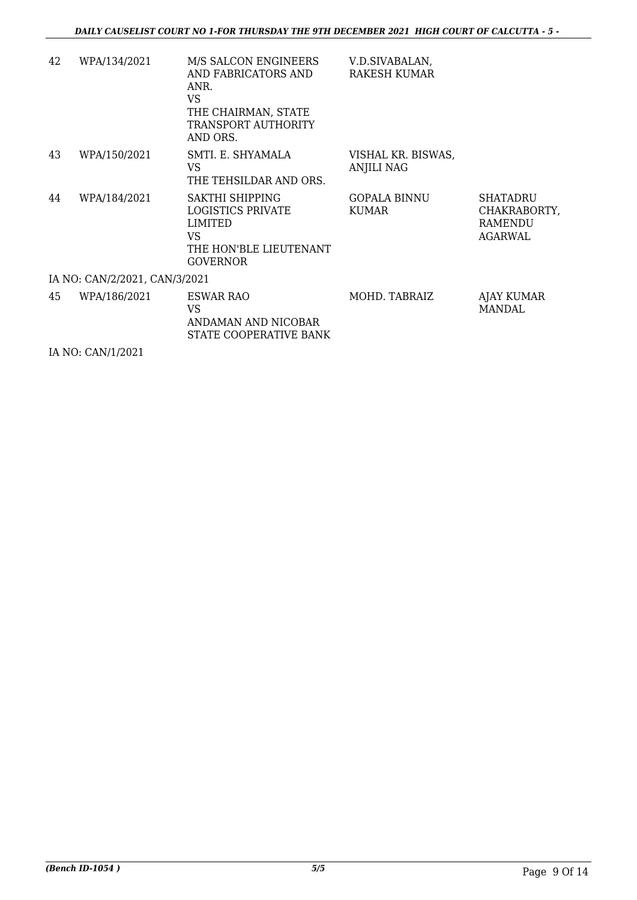| 42 | WPA/134/2021                  | M/S SALCON ENGINEERS<br>AND FABRICATORS AND<br>ANR.<br><b>VS</b><br>THE CHAIRMAN, STATE<br>TRANSPORT AUTHORITY<br>AND ORS. | V.D.SIVABALAN,<br><b>RAKESH KUMAR</b>   |                                                       |
|----|-------------------------------|----------------------------------------------------------------------------------------------------------------------------|-----------------------------------------|-------------------------------------------------------|
| 43 | WPA/150/2021                  | SMTI. E. SHYAMALA<br>VS.<br>THE TEHSILDAR AND ORS.                                                                         | VISHAL KR. BISWAS,<br><b>ANJILI NAG</b> |                                                       |
| 44 | WPA/184/2021                  | SAKTHI SHIPPING<br>LOGISTICS PRIVATE<br>LIMITED<br>VS.<br>THE HON'BLE LIEUTENANT<br><b>GOVERNOR</b>                        | <b>GOPALA BINNU</b><br><b>KUMAR</b>     | <b>SHATADRU</b><br>CHAKRABORTY,<br>RAMENDU<br>AGARWAL |
|    | IA NO: CAN/2/2021, CAN/3/2021 |                                                                                                                            |                                         |                                                       |
| 45 | WPA/186/2021                  | ESWAR RAO<br>VS.<br>ANDAMAN AND NICOBAR<br>STATE COOPERATIVE BANK                                                          | MOHD, TABRAIZ                           | AJAY KUMAR<br>MANDAL                                  |

IA NO: CAN/1/2021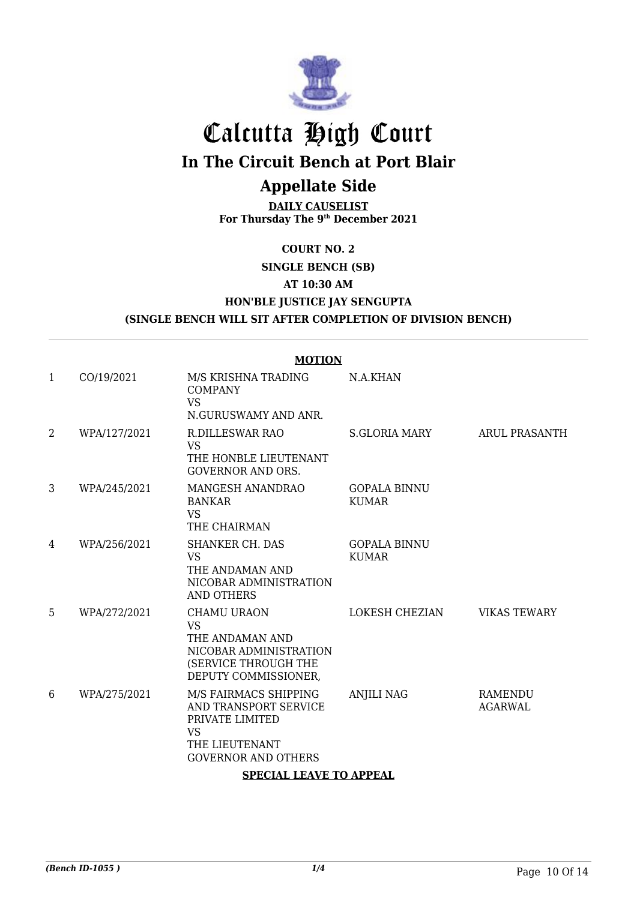

# Calcutta High Court

**In The Circuit Bench at Port Blair**

## **Appellate Side**

**DAILY CAUSELIST For Thursday The 9th December 2021**

## **COURT NO. 2**

**SINGLE BENCH (SB)**

**AT 10:30 AM**

## **HON'BLE JUSTICE JAY SENGUPTA**

## **(SINGLE BENCH WILL SIT AFTER COMPLETION OF DIVISION BENCH)**

|              | <b>MOTION</b>                  |                                                                                                                                |                                     |                           |  |
|--------------|--------------------------------|--------------------------------------------------------------------------------------------------------------------------------|-------------------------------------|---------------------------|--|
| $\mathbf{1}$ | CO/19/2021                     | M/S KRISHNA TRADING<br><b>COMPANY</b><br><b>VS</b><br>N.GURUSWAMY AND ANR.                                                     | N.A.KHAN                            |                           |  |
| 2            | WPA/127/2021                   | <b>R.DILLESWAR RAO</b><br><b>VS</b><br>THE HONBLE LIEUTENANT<br><b>GOVERNOR AND ORS.</b>                                       | S.GLORIA MARY                       | <b>ARUL PRASANTH</b>      |  |
| 3            | WPA/245/2021                   | MANGESH ANANDRAO<br><b>BANKAR</b><br><b>VS</b><br>THE CHAIRMAN                                                                 | <b>GOPALA BINNU</b><br><b>KUMAR</b> |                           |  |
| 4            | WPA/256/2021                   | SHANKER CH. DAS<br><b>VS</b><br>THE ANDAMAN AND<br>NICOBAR ADMINISTRATION<br><b>AND OTHERS</b>                                 | <b>GOPALA BINNU</b><br><b>KUMAR</b> |                           |  |
| 5            | WPA/272/2021                   | CHAMU URAON<br><b>VS</b><br>THE ANDAMAN AND<br>NICOBAR ADMINISTRATION<br>(SERVICE THROUGH THE<br>DEPUTY COMMISSIONER,          | LOKESH CHEZIAN                      | <b>VIKAS TEWARY</b>       |  |
| 6            | WPA/275/2021                   | M/S FAIRMACS SHIPPING<br>AND TRANSPORT SERVICE<br>PRIVATE LIMITED<br><b>VS</b><br>THE LIEUTENANT<br><b>GOVERNOR AND OTHERS</b> | <b>ANJILI NAG</b>                   | RAMENDU<br><b>AGARWAL</b> |  |
|              | <b>SPECIAL LEAVE TO APPEAL</b> |                                                                                                                                |                                     |                           |  |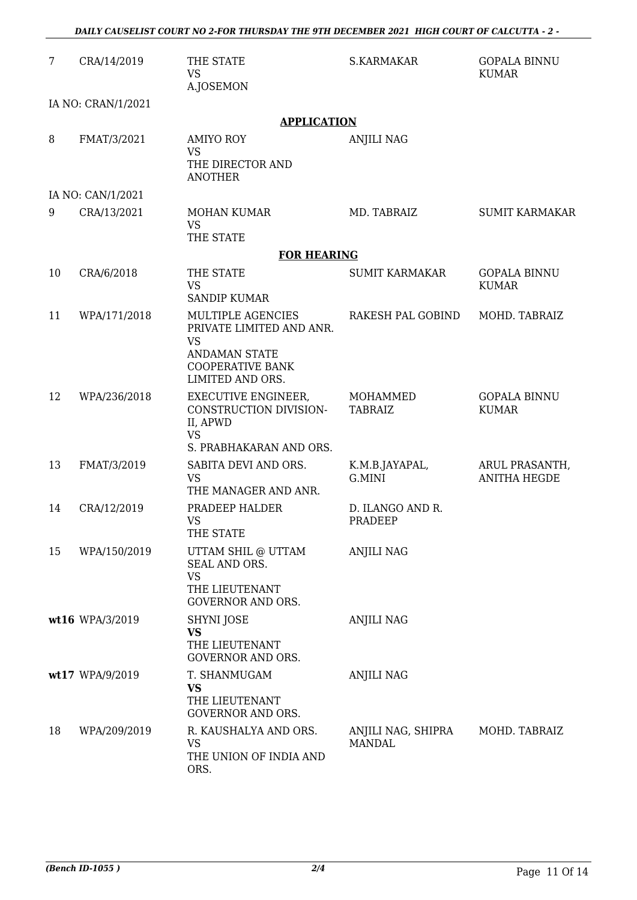| $\overline{7}$ | CRA/14/2019        | THE STATE<br><b>VS</b>                                                                                                            | S.KARMAKAR                          | <b>GOPALA BINNU</b><br><b>KUMAR</b>   |
|----------------|--------------------|-----------------------------------------------------------------------------------------------------------------------------------|-------------------------------------|---------------------------------------|
|                |                    | A.JOSEMON                                                                                                                         |                                     |                                       |
|                | IA NO: CRAN/1/2021 |                                                                                                                                   |                                     |                                       |
|                |                    | <b>APPLICATION</b>                                                                                                                |                                     |                                       |
| 8              | FMAT/3/2021        | <b>AMIYO ROY</b><br><b>VS</b><br>THE DIRECTOR AND<br><b>ANOTHER</b>                                                               | <b>ANJILI NAG</b>                   |                                       |
|                | IA NO: CAN/1/2021  |                                                                                                                                   |                                     |                                       |
| 9              | CRA/13/2021        | MOHAN KUMAR<br><b>VS</b><br>THE STATE                                                                                             | MD. TABRAIZ                         | <b>SUMIT KARMAKAR</b>                 |
|                |                    | <b>FOR HEARING</b>                                                                                                                |                                     |                                       |
| 10             | CRA/6/2018         | THE STATE                                                                                                                         | <b>SUMIT KARMAKAR</b>               | <b>GOPALA BINNU</b>                   |
|                |                    | <b>VS</b><br><b>SANDIP KUMAR</b>                                                                                                  |                                     | <b>KUMAR</b>                          |
| 11             | WPA/171/2018       | MULTIPLE AGENCIES<br>PRIVATE LIMITED AND ANR.<br><b>VS</b><br><b>ANDAMAN STATE</b><br><b>COOPERATIVE BANK</b><br>LIMITED AND ORS. | RAKESH PAL GOBIND                   | MOHD. TABRAIZ                         |
| 12             | WPA/236/2018       | EXECUTIVE ENGINEER,<br>CONSTRUCTION DIVISION-<br>II, APWD<br><b>VS</b><br>S. PRABHAKARAN AND ORS.                                 | MOHAMMED<br><b>TABRAIZ</b>          | <b>GOPALA BINNU</b><br><b>KUMAR</b>   |
| 13             | FMAT/3/2019        | SABITA DEVI AND ORS.<br><b>VS</b><br>THE MANAGER AND ANR.                                                                         | K.M.B.JAYAPAL,<br>G.MINI            | ARUL PRASANTH,<br><b>ANITHA HEGDE</b> |
| 14             | CRA/12/2019        | PRADEEP HALDER<br>VS.<br>THE STATE                                                                                                | D. ILANGO AND R.<br>PRADEEP         |                                       |
| 15             | WPA/150/2019       | UTTAM SHIL @ UTTAM<br><b>SEAL AND ORS.</b><br><b>VS</b><br>THE LIEUTENANT<br><b>GOVERNOR AND ORS.</b>                             | <b>ANJILI NAG</b>                   |                                       |
|                | wt16 WPA/3/2019    | SHYNI JOSE<br><b>VS</b><br>THE LIEUTENANT<br>GOVERNOR AND ORS.                                                                    | <b>ANJILI NAG</b>                   |                                       |
|                | wt17 WPA/9/2019    | T. SHANMUGAM<br><b>VS</b><br>THE LIEUTENANT<br><b>GOVERNOR AND ORS.</b>                                                           | <b>ANJILI NAG</b>                   |                                       |
| 18             | WPA/209/2019       | R. KAUSHALYA AND ORS.<br><b>VS</b><br>THE UNION OF INDIA AND<br>ORS.                                                              | ANJILI NAG, SHIPRA<br><b>MANDAL</b> | MOHD. TABRAIZ                         |

*DAILY CAUSELIST COURT NO 2-FOR THURSDAY THE 9TH DECEMBER 2021 HIGH COURT OF CALCUTTA - 2 -*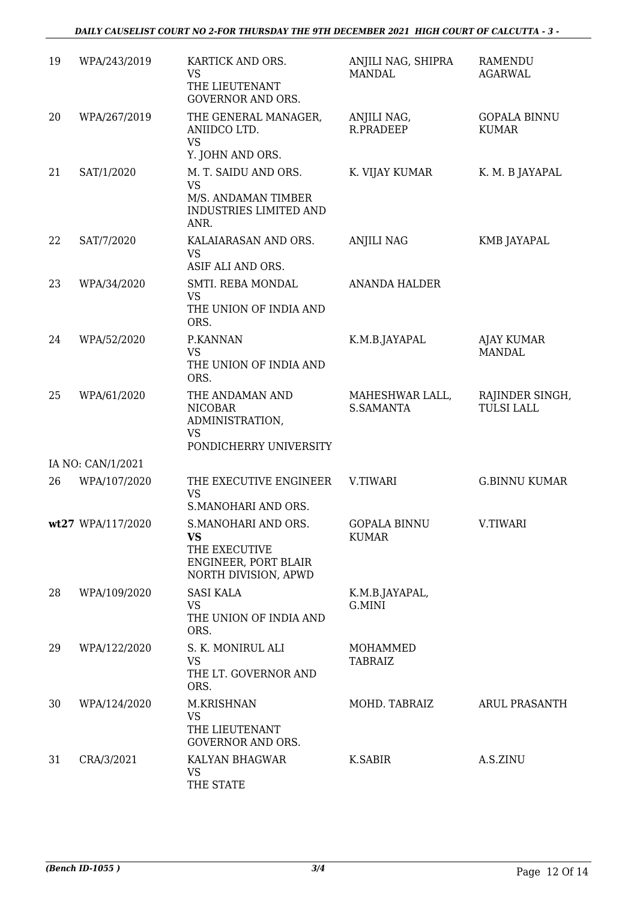| 19 | WPA/243/2019      | KARTICK AND ORS.<br><b>VS</b><br>THE LIEUTENANT<br><b>GOVERNOR AND ORS.</b>                              | ANJILI NAG, SHIPRA<br><b>MANDAL</b> | RAMENDU<br><b>AGARWAL</b>            |
|----|-------------------|----------------------------------------------------------------------------------------------------------|-------------------------------------|--------------------------------------|
| 20 | WPA/267/2019      | THE GENERAL MANAGER,<br>ANIIDCO LTD.<br><b>VS</b><br>Y. JOHN AND ORS.                                    | ANJILI NAG,<br>R.PRADEEP            | <b>GOPALA BINNU</b><br><b>KUMAR</b>  |
| 21 | SAT/1/2020        | M. T. SAIDU AND ORS.<br><b>VS</b><br>M/S. ANDAMAN TIMBER<br><b>INDUSTRIES LIMITED AND</b><br>ANR.        | K. VIJAY KUMAR                      | K. M. B JAYAPAL                      |
| 22 | SAT/7/2020        | KALAIARASAN AND ORS.<br><b>VS</b><br>ASIF ALI AND ORS.                                                   | <b>ANJILI NAG</b>                   | KMB JAYAPAL                          |
| 23 | WPA/34/2020       | SMTI. REBA MONDAL<br><b>VS</b><br>THE UNION OF INDIA AND<br>ORS.                                         | <b>ANANDA HALDER</b>                |                                      |
| 24 | WPA/52/2020       | P.KANNAN<br><b>VS</b><br>THE UNION OF INDIA AND<br>ORS.                                                  | K.M.B.JAYAPAL                       | <b>AJAY KUMAR</b><br><b>MANDAL</b>   |
| 25 | WPA/61/2020       | THE ANDAMAN AND<br><b>NICOBAR</b><br>ADMINISTRATION,<br><b>VS</b><br>PONDICHERRY UNIVERSITY              | MAHESHWAR LALL,<br><b>S.SAMANTA</b> | RAJINDER SINGH,<br><b>TULSI LALL</b> |
|    | IA NO: CAN/1/2021 |                                                                                                          |                                     |                                      |
| 26 | WPA/107/2020      | THE EXECUTIVE ENGINEER<br><b>VS</b><br>S.MANOHARI AND ORS.                                               | V.TIWARI                            | <b>G.BINNU KUMAR</b>                 |
|    | wt27 WPA/117/2020 | <b>S.MANOHARI AND ORS.</b><br><b>VS</b><br>THE EXECUTIVE<br>ENGINEER, PORT BLAIR<br>NORTH DIVISION, APWD | <b>GOPALA BINNU</b><br><b>KUMAR</b> | V.TIWARI                             |
| 28 | WPA/109/2020      | <b>SASI KALA</b><br><b>VS</b><br>THE UNION OF INDIA AND<br>ORS.                                          | K.M.B.JAYAPAL,<br>G.MINI            |                                      |
| 29 | WPA/122/2020      | S. K. MONIRUL ALI<br><b>VS</b><br>THE LT. GOVERNOR AND<br>ORS.                                           | MOHAMMED<br>TABRAIZ                 |                                      |
| 30 | WPA/124/2020      | M.KRISHNAN<br><b>VS</b><br>THE LIEUTENANT<br><b>GOVERNOR AND ORS.</b>                                    | MOHD. TABRAIZ                       | ARUL PRASANTH                        |
| 31 | CRA/3/2021        | KALYAN BHAGWAR<br><b>VS</b><br>THE STATE                                                                 | K.SABIR                             | A.S.ZINU                             |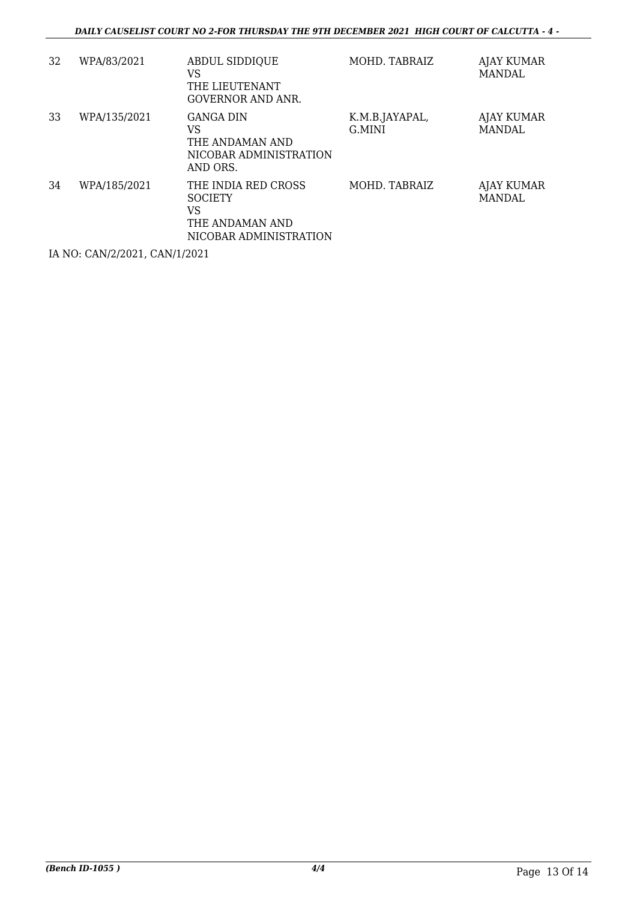| 32 | WPA/83/2021  | <b>ABDUL SIDDIQUE</b><br>VS<br>THE LIEUTENANT<br><b>GOVERNOR AND ANR.</b>                | MOHD. TABRAIZ            | AJAY KUMAR<br>MANDAL        |
|----|--------------|------------------------------------------------------------------------------------------|--------------------------|-----------------------------|
| 33 | WPA/135/2021 | <b>GANGA DIN</b><br>VS<br>THE ANDAMAN AND<br>NICOBAR ADMINISTRATION<br>AND ORS.          | K.M.B.JAYAPAL,<br>G.MINI | AJAY KUMAR<br><b>MANDAL</b> |
| 34 | WPA/185/2021 | THE INDIA RED CROSS<br><b>SOCIETY</b><br>VS<br>THE ANDAMAN AND<br>NICOBAR ADMINISTRATION | MOHD. TABRAIZ            | AJAY KUMAR<br>MANDAL        |

IA NO: CAN/2/2021, CAN/1/2021